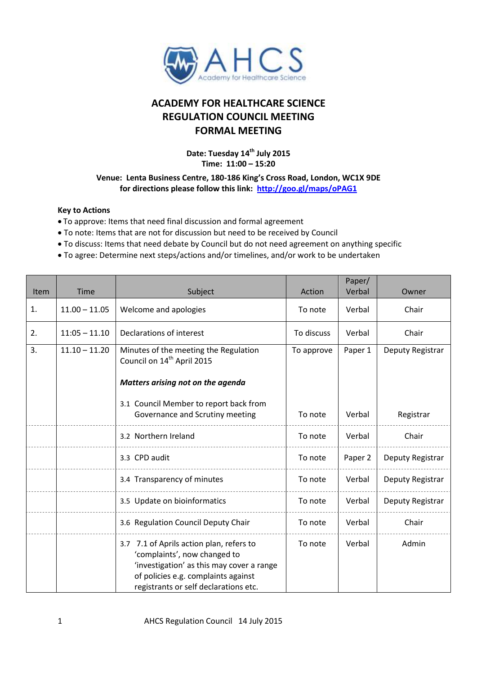

## **ACADEMY FOR HEALTHCARE SCIENCE REGULATION COUNCIL MEETING FORMAL MEETING**

**Date: Tuesday 14 th July 2015 Time: 11:00 – 15:20**

## **Venue: Lenta Business Centre, 180-186 King's Cross Road, London, WC1X 9DE for directions please follow this link: <http://goo.gl/maps/oPAG1>**

## **Key to Actions**

- To approve: Items that need final discussion and formal agreement
- To note: Items that are not for discussion but need to be received by Council
- To discuss: Items that need debate by Council but do not need agreement on anything specific
- To agree: Determine next steps/actions and/or timelines, and/or work to be undertaken

| Item | <b>Time</b>     | Subject                                                                                                                                                                                               | Action     | Paper/<br>Verbal | Owner            |
|------|-----------------|-------------------------------------------------------------------------------------------------------------------------------------------------------------------------------------------------------|------------|------------------|------------------|
| 1.   | $11.00 - 11.05$ | Welcome and apologies                                                                                                                                                                                 | To note    | Verbal           | Chair            |
| 2.   | $11:05 - 11.10$ | Declarations of interest                                                                                                                                                                              | To discuss | Verbal           | Chair            |
| 3.   | $11.10 - 11.20$ | Minutes of the meeting the Regulation<br>Council on 14 <sup>th</sup> April 2015<br>Matters arising not on the agenda                                                                                  | To approve | Paper 1          | Deputy Registrar |
|      |                 | 3.1 Council Member to report back from<br>Governance and Scrutiny meeting                                                                                                                             | To note    | Verbal           | Registrar        |
|      |                 | 3.2 Northern Ireland                                                                                                                                                                                  | To note    | Verbal           | Chair            |
|      |                 | 3.3 CPD audit                                                                                                                                                                                         | To note    | Paper 2          | Deputy Registrar |
|      |                 | 3.4 Transparency of minutes                                                                                                                                                                           | To note    | Verbal           | Deputy Registrar |
|      |                 | 3.5 Update on bioinformatics                                                                                                                                                                          | To note    | Verbal           | Deputy Registrar |
|      |                 | 3.6 Regulation Council Deputy Chair                                                                                                                                                                   | To note    | Verbal           | Chair            |
|      |                 | 3.7 7.1 of Aprils action plan, refers to<br>'complaints', now changed to<br>'investigation' as this may cover a range<br>of policies e.g. complaints against<br>registrants or self declarations etc. | To note    | Verbal           | Admin            |